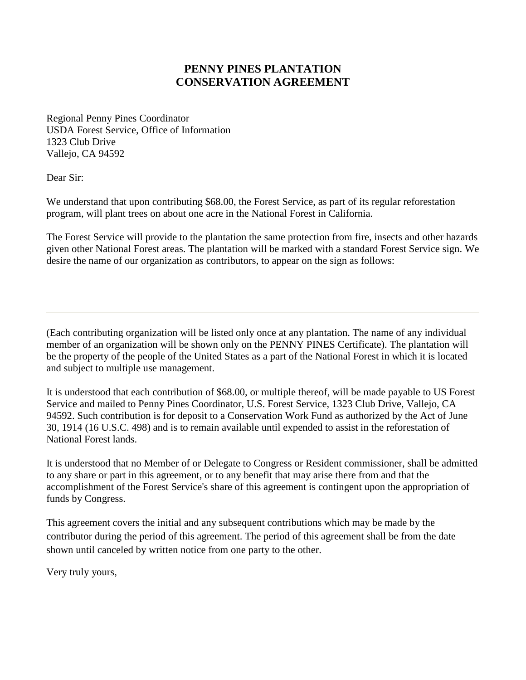## **PENNY PINES PLANTATION CONSERVATION AGREEMENT**

Regional Penny Pines Coordinator USDA Forest Service, Office of Information 1323 Club Drive Vallejo, CA 94592

Dear Sir:

We understand that upon contributing \$68.00, the Forest Service, as part of its regular reforestation program, will plant trees on about one acre in the National Forest in California.

The Forest Service will provide to the plantation the same protection from fire, insects and other hazards given other National Forest areas. The plantation will be marked with a standard Forest Service sign. We desire the name of our organization as contributors, to appear on the sign as follows:

(Each contributing organization will be listed only once at any plantation. The name of any individual member of an organization will be shown only on the PENNY PINES Certificate). The plantation will be the property of the people of the United States as a part of the National Forest in which it is located and subject to multiple use management.

It is understood that each contribution of \$68.00, or multiple thereof, will be made payable to US Forest Service and mailed to Penny Pines Coordinator, U.S. Forest Service, 1323 Club Drive, Vallejo, CA 94592. Such contribution is for deposit to a Conservation Work Fund as authorized by the Act of June 30, 1914 (16 U.S.C. 498) and is to remain available until expended to assist in the reforestation of National Forest lands.

It is understood that no Member of or Delegate to Congress or Resident commissioner, shall be admitted to any share or part in this agreement, or to any benefit that may arise there from and that the accomplishment of the Forest Service's share of this agreement is contingent upon the appropriation of funds by Congress.

This agreement covers the initial and any subsequent contributions which may be made by the contributor during the period of this agreement. The period of this agreement shall be from the date shown until canceled by written notice from one party to the other.

Very truly yours,